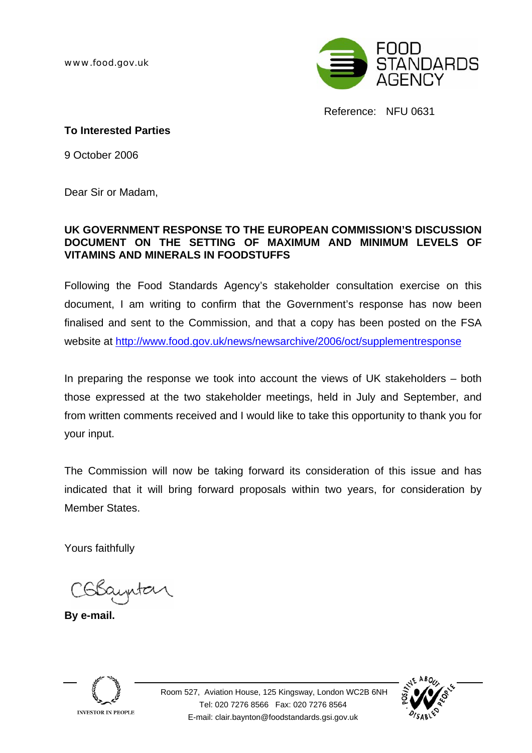www.food.gov.uk



Reference: NFU 0631

#### **To Interested Parties**

9 October 2006

Dear Sir or Madam,

#### **UK GOVERNMENT RESPONSE TO THE EUROPEAN COMMISSION'S DISCUSSION DOCUMENT ON THE SETTING OF MAXIMUM AND MINIMUM LEVELS OF VITAMINS AND MINERALS IN FOODSTUFFS**

Following the Food Standards Agency's stakeholder consultation exercise on this document, I am writing to confirm that the Government's response has now been finalised and sent to the Commission, and that a copy has been posted on the FSA website at [http://www.food.gov.uk/news/newsarchive/2006/oct/supplementresponse](#page-1-0)

In preparing the response we took into account the views of UK stakeholders – both those expressed at the two stakeholder meetings, held in July and September, and from written comments received and I would like to take this opportunity to thank you for your input.

The Commission will now be taking forward its consideration of this issue and has indicated that it will bring forward proposals within two years, for consideration by Member States.

Yours faithfully

Colsauntar

**By e-mail.** 



 Room 527, Aviation House, 125 Kingsway, London WC2B 6NH Tel: 020 7276 8566 Fax: 020 7276 8564 E-mail: clair.baynton@foodstandards.gsi.gov.uk

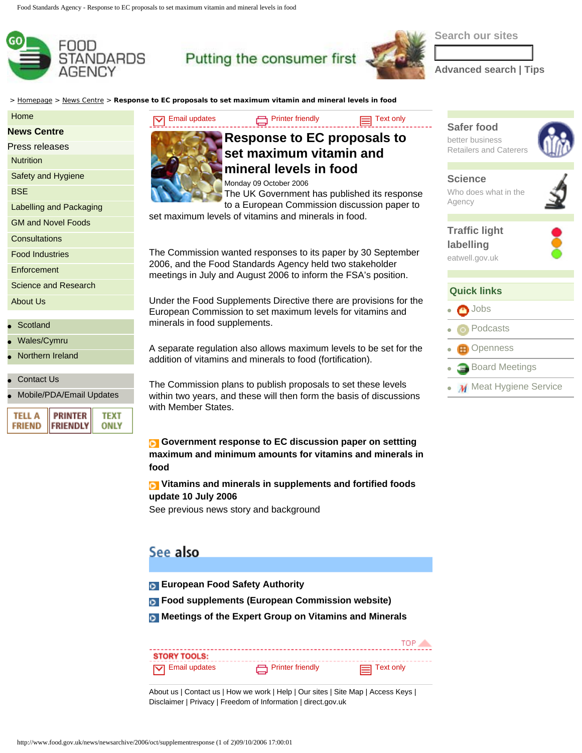<span id="page-1-0"></span>

## Putting the consumer first

**Search our sites**

**[Advanced search](http://www.food.gov.uk/search?p=D&ts=custom&term=) | [Tips](http://www.food.gov.uk/search_tips.php)**

> [Homepage](http://www.food.gov.uk/) > [News Centre](http://www.food.gov.uk/news/) > **Response to EC proposals to set maximum vitamin and mineral levels in food**

#### [Home](http://www.food.gov.uk/)

**[News Centre](http://www.food.gov.uk/news/)**

| Press releases |  |
|----------------|--|
|----------------|--|

**[Nutrition](http://www.food.gov.uk/healthiereating/)** 

[Safety and Hygiene](http://www.food.gov.uk/safereating/)

**[BSE](http://www.food.gov.uk/bse/)** 

[Labelling and Packaging](http://www.food.gov.uk/foodlabelling/)

[GM and Novel Foods](http://www.food.gov.uk/gmfoods/)

**[Consultations](http://www.food.gov.uk/Consultations/)** 

[Food Industries](http://www.food.gov.uk/foodindustry/)

**[Enforcement](http://www.food.gov.uk/enforcement/)** 

[Science and Research](http://www.food.gov.uk/science/)

[About Us](http://www.food.gov.uk/aboutus/)

- **[Scotland](http://www.food.gov.uk/scotland/)**
- [Wales/Cymru](http://www.food.gov.uk/wales/)
- **[Northern Ireland](http://www.food.gov.uk/northernireland/)**
- **[Contact Us](http://www.food.gov.uk/aboutus/contactus/)**
- [Mobile/PDA/Email Updates](http://www.food.gov.uk/subscribe/)

| TELL A <b>PRINTER</b><br>FRIEND FRIENDLY | твх<br>ONLY |
|------------------------------------------|-------------|
|------------------------------------------|-------------|



#### [Email updates](http://www.food.gov.uk/subscribe/) **Executes** [Printer friendly](javascript:MM_openBrWindow() **[Text only](http://text.food.gov.uk/cgi-bin/parser.pl/www1.food.gov.uk/news/newsarchive/2006/oct/supplementresponse) Response to EC proposals to set maximum vitamin and mineral levels in food** Monday 09 October 2006

The UK Government has published its response

to a European Commission discussion paper to set maximum levels of vitamins and minerals in food.

The Commission wanted responses to its paper by 30 September 2006, and the Food Standards Agency held two stakeholder meetings in July and August 2006 to inform the FSA's position.

Under the Food Supplements Directive there are provisions for the European Commission to set maximum levels for vitamins and minerals in food supplements.

A separate regulation also allows maximum levels to be set for the addition of vitamins and minerals to food (fortification).

The Commission plans to publish proposals to set these levels within two years, and these will then form the basis of discussions with Member States.

**Government response to EC discussion paper on settting [maximum and minimum amounts for vitamins and minerals in](#page-3-0)  [food](#page-3-0)** 

**[Vitamins and minerals in supplements and fortified foods](http://www.food.gov.uk/news/newsarchive/2006/jul/vitsandmins) [update 10 July 2006](http://www.food.gov.uk/news/newsarchive/2006/jul/vitsandmins)** 

See previous news story and background

### See also

- **[European Food Safety Authority](http://www.efsa.europa.eu/)**
- **[Food supplements \(European Commission website\)](http://ec.europa.eu/food/food/labellingnutrition/supplements/index_en.htm)**
- **[Meetings of the Expert Group on Vitamins and Minerals](http://www.food.gov.uk/multimedia/webpage/vitandmin/evmmeetings/)**

|                        |                  | <b>TOP</b>         |
|------------------------|------------------|--------------------|
| <b>STORY TOOLS:</b>    |                  |                    |
| $\nabla$ Email updates | Printer friendly | $\equiv$ Text only |

[About us](http://www.food.gov.uk/aboutus/) | [Contact us](http://www.food.gov.uk/aboutus/contactus/) | [How we work](http://www.food.gov.uk/aboutus/how_we_work/) | [Help](http://www.food.gov.uk/aboutus/aboutsite/) | [Our sites](http://www.food.gov.uk/aboutus/fsawebsites/) | [Site Map](http://www.food.gov.uk/aboutus/aboutsite/sitemap) | [Access Keys](http://www.food.gov.uk/aboutus/aboutsite/accesskeys) | [Disclaimer](http://www.food.gov.uk/aboutus/aboutsite/disclaimer) | [Privacy](http://www.food.gov.uk/aboutus/aboutsite/termsandconditions/privacypolicy) | [Freedom of Information](http://www.food.gov.uk/aboutus/how_we_work/foia/) | [direct.gov.uk](http://www.direct.gov.uk/)

## **[Safer food](http://www.food.gov.uk/foodindustry/regulation/hygiene/sfbb/)**

better business Retailers and Caterers



# **[Science](http://www.food.gov.uk/aboutus/jobs/work/)**

Who does what in the Agency

**[Traffic light](http://www.eatwell.gov.uk/foodlabels/trafficlights/)  [labelling](http://www.eatwell.gov.uk/foodlabels/trafficlights/)** eatwell.gov.uk



#### **Quick links**

- [Jobs](http://www.food.gov.uk/aboutus/jobs/) ● [Podcasts](http://www.flyonthewall.com/podcast/food.gov.uk/OpenBoardMeetingsPodcast/)
- 
- **田** [Openness](http://www.food.gov.uk/news/newsarchive/2006/oct/openness)
- **[Board Meetings](http://www.food.gov.uk/aboutus/ourboard/boardmeetings/)** 
	- M [Meat Hygiene Service](http://www.food.gov.uk/foodindustry/meat/mhservice/)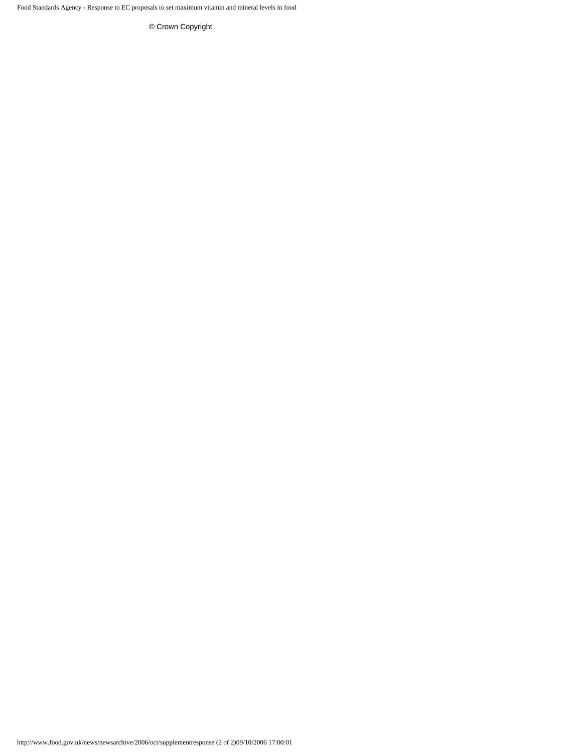Food Standards Agency - Response to EC proposals to set maximum vitamin and mineral levels in food

[© Crown Copyright](http://www.food.gov.uk/aboutus/aboutsite/termsandconditions/crowncopyright)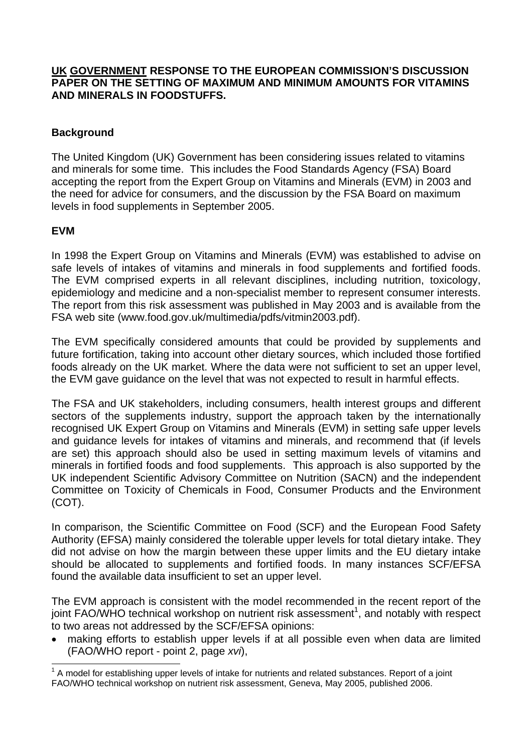#### <span id="page-3-0"></span>**UK GOVERNMENT RESPONSE TO THE EUROPEAN COMMISSION'S DISCUSSION PAPER ON THE SETTING OF MAXIMUM AND MINIMUM AMOUNTS FOR VITAMINS AND MINERALS IN FOODSTUFFS.**

#### **Background**

The United Kingdom (UK) Government has been considering issues related to vitamins and minerals for some time. This includes the Food Standards Agency (FSA) Board accepting the report from the Expert Group on Vitamins and Minerals (EVM) in 2003 and the need for advice for consumers, and the discussion by the FSA Board on maximum levels in food supplements in September 2005.

#### **EVM**

In 1998 the Expert Group on Vitamins and Minerals (EVM) was established to advise on safe levels of intakes of vitamins and minerals in food supplements and fortified foods. The EVM comprised experts in all relevant disciplines, including nutrition, toxicology, epidemiology and medicine and a non-specialist member to represent consumer interests. The report from this risk assessment was published in May 2003 and is available from the FSA web site (www.food.gov.uk/multimedia/pdfs/vitmin2003.pdf).

The EVM specifically considered amounts that could be provided by supplements and future fortification, taking into account other dietary sources, which included those fortified foods already on the UK market. Where the data were not sufficient to set an upper level, the EVM gave guidance on the level that was not expected to result in harmful effects.

The FSA and UK stakeholders, including consumers, health interest groups and different sectors of the supplements industry, support the approach taken by the internationally recognised UK Expert Group on Vitamins and Minerals (EVM) in setting safe upper levels and guidance levels for intakes of vitamins and minerals, and recommend that (if levels are set) this approach should also be used in setting maximum levels of vitamins and minerals in fortified foods and food supplements. This approach is also supported by the UK independent Scientific Advisory Committee on Nutrition (SACN) and the independent Committee on Toxicity of Chemicals in Food, Consumer Products and the Environment (COT).

In comparison, the Scientific Committee on Food (SCF) and the European Food Safety Authority (EFSA) mainly considered the tolerable upper levels for total dietary intake. They did not advise on how the margin between these upper limits and the EU dietary intake should be allocated to supplements and fortified foods. In many instances SCF/EFSA found the available data insufficient to set an upper level.

The EVM approach is consistent with the model recommended in the recent report of the joint FAO/WHO technical workshop on nutrient risk assessment<sup>1</sup>, and notably with respect to two areas not addressed by the SCF/EFSA opinions:

• making efforts to establish upper levels if at all possible even when data are limited (FAO/WHO report - point 2, page *xvi*),

 1 A model for establishing upper levels of intake for nutrients and related substances. Report of a joint FAO/WHO technical workshop on nutrient risk assessment, Geneva, May 2005, published 2006.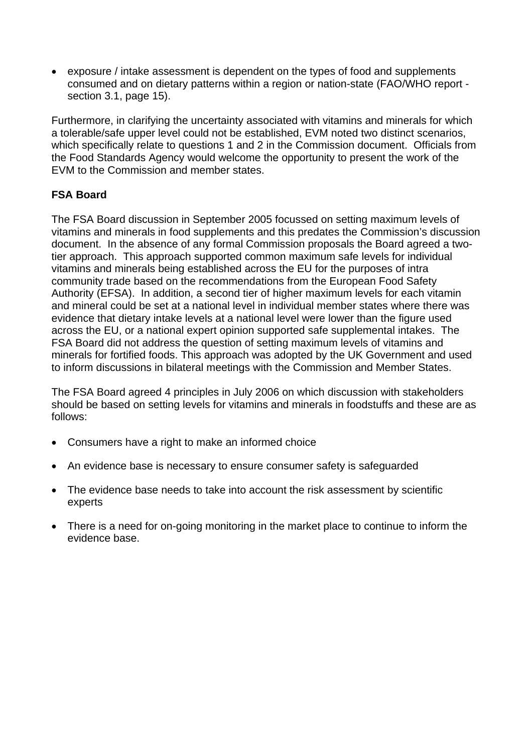• exposure / intake assessment is dependent on the types of food and supplements consumed and on dietary patterns within a region or nation-state (FAO/WHO report section 3.1, page 15).

Furthermore, in clarifying the uncertainty associated with vitamins and minerals for which a tolerable/safe upper level could not be established, EVM noted two distinct scenarios, which specifically relate to questions 1 and 2 in the Commission document. Officials from the Food Standards Agency would welcome the opportunity to present the work of the EVM to the Commission and member states.

#### **FSA Board**

The FSA Board discussion in September 2005 focussed on setting maximum levels of vitamins and minerals in food supplements and this predates the Commission's discussion document. In the absence of any formal Commission proposals the Board agreed a twotier approach. This approach supported common maximum safe levels for individual vitamins and minerals being established across the EU for the purposes of intra community trade based on the recommendations from the European Food Safety Authority (EFSA). In addition, a second tier of higher maximum levels for each vitamin and mineral could be set at a national level in individual member states where there was evidence that dietary intake levels at a national level were lower than the figure used across the EU, or a national expert opinion supported safe supplemental intakes. The FSA Board did not address the question of setting maximum levels of vitamins and minerals for fortified foods. This approach was adopted by the UK Government and used to inform discussions in bilateral meetings with the Commission and Member States.

The FSA Board agreed 4 principles in July 2006 on which discussion with stakeholders should be based on setting levels for vitamins and minerals in foodstuffs and these are as follows:

- Consumers have a right to make an informed choice
- An evidence base is necessary to ensure consumer safety is safequarded
- The evidence base needs to take into account the risk assessment by scientific experts
- There is a need for on-going monitoring in the market place to continue to inform the evidence base.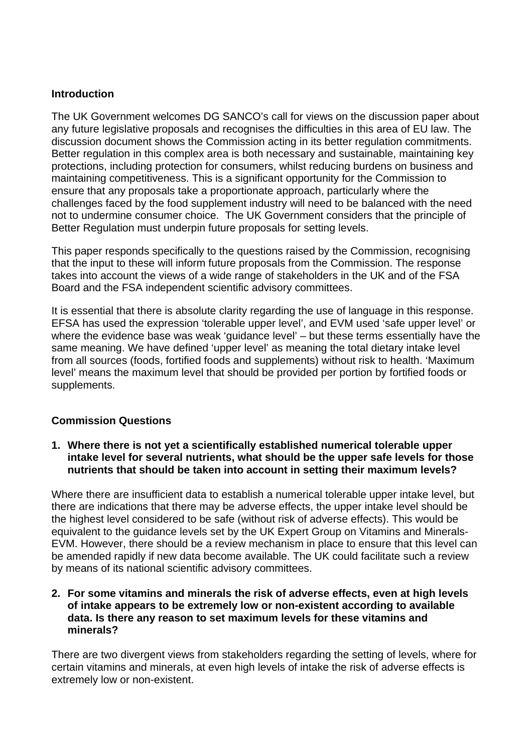#### **Introduction**

The UK Government welcomes DG SANCO's call for views on the discussion paper about any future legislative proposals and recognises the difficulties in this area of EU law. The discussion document shows the Commission acting in its better regulation commitments. Better regulation in this complex area is both necessary and sustainable, maintaining key protections, including protection for consumers, whilst reducing burdens on business and maintaining competitiveness. This is a significant opportunity for the Commission to ensure that any proposals take a proportionate approach, particularly where the challenges faced by the food supplement industry will need to be balanced with the need not to undermine consumer choice. The UK Government considers that the principle of Better Regulation must underpin future proposals for setting levels.

This paper responds specifically to the questions raised by the Commission, recognising that the input to these will inform future proposals from the Commission. The response takes into account the views of a wide range of stakeholders in the UK and of the FSA Board and the FSA independent scientific advisory committees.

It is essential that there is absolute clarity regarding the use of language in this response. EFSA has used the expression 'tolerable upper level', and EVM used 'safe upper level' or where the evidence base was weak 'guidance level' – but these terms essentially have the same meaning. We have defined 'upper level' as meaning the total dietary intake level from all sources (foods, fortified foods and supplements) without risk to health. 'Maximum level' means the maximum level that should be provided per portion by fortified foods or supplements.

#### **Commission Questions**

**1. Where there is not yet a scientifically established numerical tolerable upper intake level for several nutrients, what should be the upper safe levels for those nutrients that should be taken into account in setting their maximum levels?**

Where there are insufficient data to establish a numerical tolerable upper intake level, but there are indications that there may be adverse effects, the upper intake level should be the highest level considered to be safe (without risk of adverse effects). This would be equivalent to the guidance levels set by the UK Expert Group on Vitamins and Minerals-EVM. However, there should be a review mechanism in place to ensure that this level can be amended rapidly if new data become available. The UK could facilitate such a review by means of its national scientific advisory committees.

#### **2. For some vitamins and minerals the risk of adverse effects, even at high levels of intake appears to be extremely low or non-existent according to available data. Is there any reason to set maximum levels for these vitamins and minerals?**

There are two divergent views from stakeholders regarding the setting of levels, where for certain vitamins and minerals, at even high levels of intake the risk of adverse effects is extremely low or non-existent.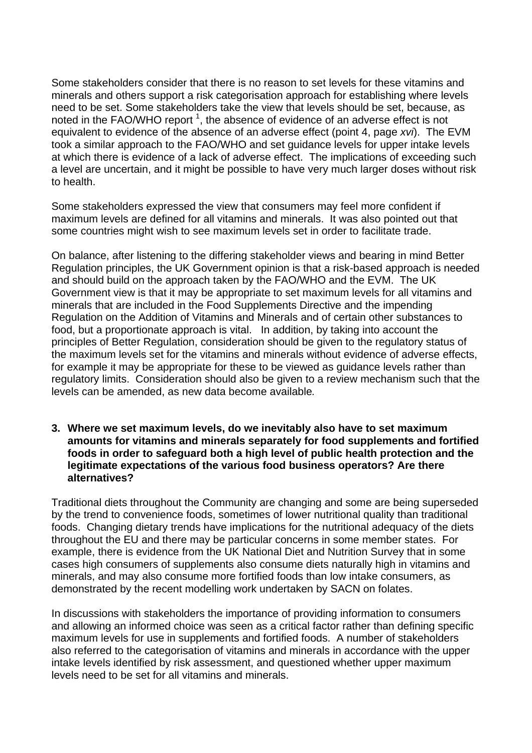Some stakeholders consider that there is no reason to set levels for these vitamins and minerals and others support a risk categorisation approach for establishing where levels need to be set. Some stakeholders take the view that levels should be set, because, as noted in the FAO/WHO report  $^1$ , the absence of evidence of an adverse effect is not equivalent to evidence of the absence of an adverse effect (point 4, page *xvi*). The EVM took a similar approach to the FAO/WHO and set guidance levels for upper intake levels at which there is evidence of a lack of adverse effect. The implications of exceeding such a level are uncertain, and it might be possible to have very much larger doses without risk to health.

Some stakeholders expressed the view that consumers may feel more confident if maximum levels are defined for all vitamins and minerals. It was also pointed out that some countries might wish to see maximum levels set in order to facilitate trade.

On balance, after listening to the differing stakeholder views and bearing in mind Better Regulation principles, the UK Government opinion is that a risk-based approach is needed and should build on the approach taken by the FAO/WHO and the EVM. The UK Government view is that it may be appropriate to set maximum levels for all vitamins and minerals that are included in the Food Supplements Directive and the impending Regulation on the Addition of Vitamins and Minerals and of certain other substances to food, but a proportionate approach is vital. In addition, by taking into account the principles of Better Regulation, consideration should be given to the regulatory status of the maximum levels set for the vitamins and minerals without evidence of adverse effects, for example it may be appropriate for these to be viewed as guidance levels rather than regulatory limits. Consideration should also be given to a review mechanism such that the levels can be amended, as new data become available*.*

**3. Where we set maximum levels, do we inevitably also have to set maximum amounts for vitamins and minerals separately for food supplements and fortified foods in order to safeguard both a high level of public health protection and the legitimate expectations of the various food business operators? Are there alternatives?**

Traditional diets throughout the Community are changing and some are being superseded by the trend to convenience foods, sometimes of lower nutritional quality than traditional foods. Changing dietary trends have implications for the nutritional adequacy of the diets throughout the EU and there may be particular concerns in some member states. For example, there is evidence from the UK National Diet and Nutrition Survey that in some cases high consumers of supplements also consume diets naturally high in vitamins and minerals, and may also consume more fortified foods than low intake consumers, as demonstrated by the recent modelling work undertaken by SACN on folates.

In discussions with stakeholders the importance of providing information to consumers and allowing an informed choice was seen as a critical factor rather than defining specific maximum levels for use in supplements and fortified foods. A number of stakeholders also referred to the categorisation of vitamins and minerals in accordance with the upper intake levels identified by risk assessment, and questioned whether upper maximum levels need to be set for all vitamins and minerals.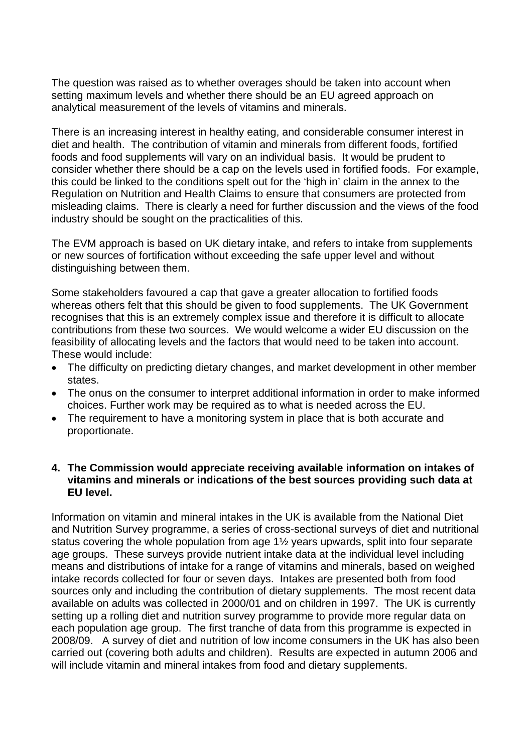The question was raised as to whether overages should be taken into account when setting maximum levels and whether there should be an EU agreed approach on analytical measurement of the levels of vitamins and minerals.

There is an increasing interest in healthy eating, and considerable consumer interest in diet and health. The contribution of vitamin and minerals from different foods, fortified foods and food supplements will vary on an individual basis. It would be prudent to consider whether there should be a cap on the levels used in fortified foods. For example, this could be linked to the conditions spelt out for the 'high in' claim in the annex to the Regulation on Nutrition and Health Claims to ensure that consumers are protected from misleading claims. There is clearly a need for further discussion and the views of the food industry should be sought on the practicalities of this.

The EVM approach is based on UK dietary intake, and refers to intake from supplements or new sources of fortification without exceeding the safe upper level and without distinguishing between them.

Some stakeholders favoured a cap that gave a greater allocation to fortified foods whereas others felt that this should be given to food supplements. The UK Government recognises that this is an extremely complex issue and therefore it is difficult to allocate contributions from these two sources. We would welcome a wider EU discussion on the feasibility of allocating levels and the factors that would need to be taken into account. These would include:

- The difficulty on predicting dietary changes, and market development in other member states.
- The onus on the consumer to interpret additional information in order to make informed choices. Further work may be required as to what is needed across the EU.
- The requirement to have a monitoring system in place that is both accurate and proportionate.

#### **4. The Commission would appreciate receiving available information on intakes of vitamins and minerals or indications of the best sources providing such data at EU level.**

Information on vitamin and mineral intakes in the UK is available from the National Diet and Nutrition Survey programme, a series of cross-sectional surveys of diet and nutritional status covering the whole population from age 1½ years upwards, split into four separate age groups. These surveys provide nutrient intake data at the individual level including means and distributions of intake for a range of vitamins and minerals, based on weighed intake records collected for four or seven days. Intakes are presented both from food sources only and including the contribution of dietary supplements. The most recent data available on adults was collected in 2000/01 and on children in 1997. The UK is currently setting up a rolling diet and nutrition survey programme to provide more regular data on each population age group. The first tranche of data from this programme is expected in 2008/09. A survey of diet and nutrition of low income consumers in the UK has also been carried out (covering both adults and children). Results are expected in autumn 2006 and will include vitamin and mineral intakes from food and dietary supplements.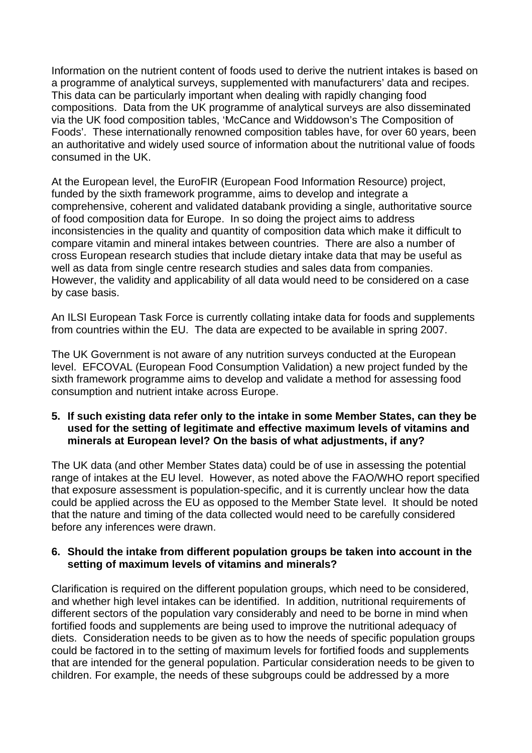Information on the nutrient content of foods used to derive the nutrient intakes is based on a programme of analytical surveys, supplemented with manufacturers' data and recipes. This data can be particularly important when dealing with rapidly changing food compositions. Data from the UK programme of analytical surveys are also disseminated via the UK food composition tables, 'McCance and Widdowson's The Composition of Foods'. These internationally renowned composition tables have, for over 60 years, been an authoritative and widely used source of information about the nutritional value of foods consumed in the UK.

At the European level, the EuroFIR (European Food Information Resource) project, funded by the sixth framework programme, aims to develop and integrate a comprehensive, coherent and validated databank providing a single, authoritative source of food composition data for Europe. In so doing the project aims to address inconsistencies in the quality and quantity of composition data which make it difficult to compare vitamin and mineral intakes between countries. There are also a number of cross European research studies that include dietary intake data that may be useful as well as data from single centre research studies and sales data from companies. However, the validity and applicability of all data would need to be considered on a case by case basis.

An ILSI European Task Force is currently collating intake data for foods and supplements from countries within the EU. The data are expected to be available in spring 2007.

The UK Government is not aware of any nutrition surveys conducted at the European level. EFCOVAL (European Food Consumption Validation) a new project funded by the sixth framework programme aims to develop and validate a method for assessing food consumption and nutrient intake across Europe.

#### **5. If such existing data refer only to the intake in some Member States, can they be used for the setting of legitimate and effective maximum levels of vitamins and minerals at European level? On the basis of what adjustments, if any?**

The UK data (and other Member States data) could be of use in assessing the potential range of intakes at the EU level. However, as noted above the FAO/WHO report specified that exposure assessment is population-specific, and it is currently unclear how the data could be applied across the EU as opposed to the Member State level. It should be noted that the nature and timing of the data collected would need to be carefully considered before any inferences were drawn.

#### **6. Should the intake from different population groups be taken into account in the setting of maximum levels of vitamins and minerals?**

Clarification is required on the different population groups, which need to be considered, and whether high level intakes can be identified. In addition, nutritional requirements of different sectors of the population vary considerably and need to be borne in mind when fortified foods and supplements are being used to improve the nutritional adequacy of diets. Consideration needs to be given as to how the needs of specific population groups could be factored in to the setting of maximum levels for fortified foods and supplements that are intended for the general population. Particular consideration needs to be given to children. For example, the needs of these subgroups could be addressed by a more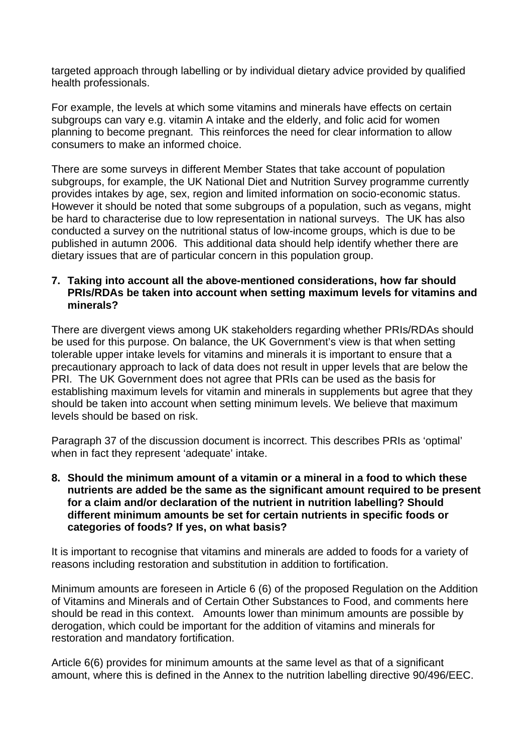targeted approach through labelling or by individual dietary advice provided by qualified health professionals.

For example, the levels at which some vitamins and minerals have effects on certain subgroups can vary e.g. vitamin A intake and the elderly, and folic acid for women planning to become pregnant. This reinforces the need for clear information to allow consumers to make an informed choice.

There are some surveys in different Member States that take account of population subgroups, for example, the UK National Diet and Nutrition Survey programme currently provides intakes by age, sex, region and limited information on socio-economic status. However it should be noted that some subgroups of a population, such as vegans, might be hard to characterise due to low representation in national surveys. The UK has also conducted a survey on the nutritional status of low-income groups, which is due to be published in autumn 2006. This additional data should help identify whether there are dietary issues that are of particular concern in this population group.

#### **7. Taking into account all the above-mentioned considerations, how far should PRIs/RDAs be taken into account when setting maximum levels for vitamins and minerals?**

There are divergent views among UK stakeholders regarding whether PRIs/RDAs should be used for this purpose. On balance, the UK Government's view is that when setting tolerable upper intake levels for vitamins and minerals it is important to ensure that a precautionary approach to lack of data does not result in upper levels that are below the PRI. The UK Government does not agree that PRIs can be used as the basis for establishing maximum levels for vitamin and minerals in supplements but agree that they should be taken into account when setting minimum levels. We believe that maximum levels should be based on risk.

Paragraph 37 of the discussion document is incorrect. This describes PRIs as 'optimal' when in fact they represent 'adequate' intake.

**8. Should the minimum amount of a vitamin or a mineral in a food to which these nutrients are added be the same as the significant amount required to be present for a claim and/or declaration of the nutrient in nutrition labelling? Should different minimum amounts be set for certain nutrients in specific foods or categories of foods? If yes, on what basis?**

It is important to recognise that vitamins and minerals are added to foods for a variety of reasons including restoration and substitution in addition to fortification.

Minimum amounts are foreseen in Article 6 (6) of the proposed Regulation on the Addition of Vitamins and Minerals and of Certain Other Substances to Food, and comments here should be read in this context. Amounts lower than minimum amounts are possible by derogation, which could be important for the addition of vitamins and minerals for restoration and mandatory fortification.

Article 6(6) provides for minimum amounts at the same level as that of a significant amount, where this is defined in the Annex to the nutrition labelling directive 90/496/EEC.